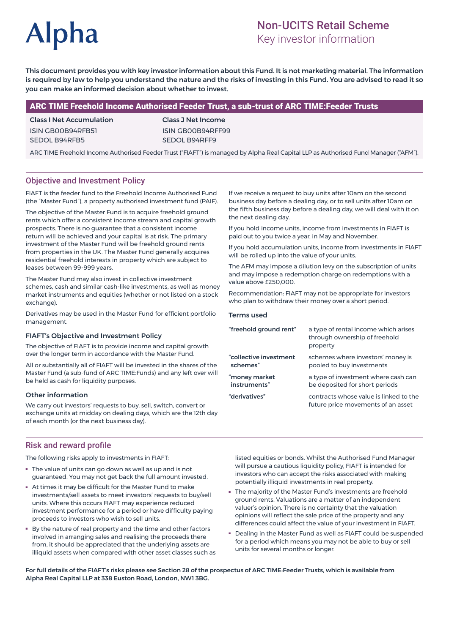# **Alpha**

# Non-UCITS Retail Scheme

Key investor information

This document provides you with key investor information about this Fund. It is not marketing material. The information is required by law to help you understand the nature and the risks of investing in this Fund. You are advised to read it so you can make an informed decision about whether to invest.

## ARC TIME Freehold Income Authorised Feeder Trust, a sub-trust of ARC TIME:Feeder Trusts

Class I Net Accumulation ISIN GB00B94RFB51 SEDOL B94RFB5

Class J Net Income ISIN GB00B94RFF99 SEDOL B94RFF9

ARC TIME Freehold Income Authorised Feeder Trust ("FIAFT") is managed by Alpha Real Capital LLP as Authorised Fund Manager ("AFM").

# Objective and Investment Policy

FIAFT is the feeder fund to the Freehold Income Authorised Fund (the "Master Fund"), a property authorised investment fund (PAIF).

The objective of the Master Fund is to acquire freehold ground rents which offer a consistent income stream and capital growth prospects. There is no guarantee that a consistent income return will be achieved and your capital is at risk. The primary investment of the Master Fund will be freehold ground rents from properties in the UK. The Master Fund generally acquires residential freehold interests in property which are subject to leases between 99-999 years.

The Master Fund may also invest in collective investment schemes, cash and similar cash-like investments, as well as money market instruments and equities (whether or not listed on a stock exchange)

Derivatives may be used in the Master Fund for efficient portfolio management.

#### FIAFT's Objective and Investment Policy

The objective of FIAFT is to provide income and capital growth over the longer term in accordance with the Master Fund.

All or substantially all of FIAFT will be invested in the shares of the Master Fund (a sub-fund of ARC TIME:Funds) and any left over will be held as cash for liquidity purposes.

#### Other information

We carry out investors' requests to buy, sell, switch, convert or exchange units at midday on dealing days, which are the 12th day of each month (or the next business day).

If we receive a request to buy units after 10am on the second business day before a dealing day, or to sell units after 10am on the fifth business day before a dealing day, we will deal with it on the next dealing day.

If you hold income units, income from investments in FIAFT is paid out to you twice a year, in May and November.

If you hold accumulation units, income from investments in FIAFT will be rolled up into the value of your units.

The AFM may impose a dilution levy on the subscription of units and may impose a redemption charge on redemptions with a value above £250,000.

Recommendation: FIAFT may not be appropriate for investors who plan to withdraw their money over a short period.

#### Terms used

| a type of rental income which arises<br>through ownership of freehold<br>property |
|-----------------------------------------------------------------------------------|
| schemes where investors' money is<br>pooled to buy investments                    |
| a type of investment where cash can<br>be deposited for short periods             |
| contracts whose value is linked to the<br>future price movements of an asset      |
|                                                                                   |

#### Risk and reward profile

The following risks apply to investments in FIAFT:

- The value of units can go down as well as up and is not guaranteed. You may not get back the full amount invested.
- At times it may be difficult for the Master Fund to make investments/sell assets to meet investors' requests to buy/sell units. Where this occurs FIAFT may experience reduced investment performance for a period or have difficulty paying proceeds to investors who wish to sell units.
- By the nature of real property and the time and other factors involved in arranging sales and realising the proceeds there from, it should be appreciated that the underlying assets are illiquid assets when compared with other asset classes such as

listed equities or bonds. Whilst the Authorised Fund Manager will pursue a cautious liquidity policy, FIAFT is intended for investors who can accept the risks associated with making potentially illiquid investments in real property.

- The majority of the Master Fund's investments are freehold ground rents. Valuations are a matter of an independent valuer's opinion. There is no certainty that the valuation opinions will reflect the sale price of the property and any differences could affect the value of your investment in FIAFT.
- Dealing in the Master Fund as well as FIAFT could be suspended for a period which means you may not be able to buy or sell units for several months or longer.

For full details of the FIAFT's risks please see Section 28 of the prospectus of ARC TIME:Feeder Trusts, which is available from Alpha Real Capital LLP at 338 Euston Road, London, NW1 3BG.